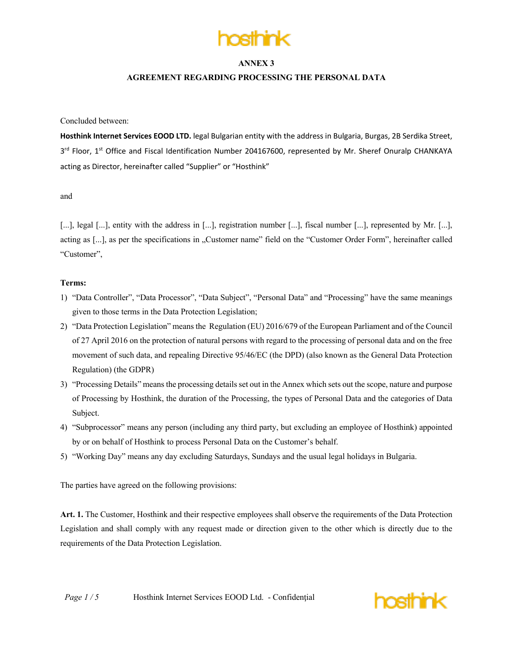

### **AGREEMENT REGARDING PROCESSING THE PERSONAL DATA**

Concluded between:

**Hosthink Internet Services EOOD LTD.** legal Bulgarian entity with the address in Bulgaria, Burgas, 2B Serdika Street, 3<sup>rd</sup> Floor, 1<sup>st</sup> Office and Fiscal Identification Number 204167600, represented by Mr. Sheref Onuralp CHANKAYA acting as Director, hereinafter called "Supplier" or "Hosthink"

and

[...], legal [...], entity with the address in [...], registration number [...], fiscal number [...], represented by Mr. [...], acting as [...], as per the specifications in "Customer name" field on the "Customer Order Form", hereinafter called "Customer",

#### **Terms:**

- 1) "Data Controller", "Data Processor", "Data Subject", "Personal Data" and "Processing" have the same meanings given to those terms in the Data Protection Legislation;
- 2) "Data Protection Legislation" means the Regulation (EU) 2016/679 of the European Parliament and of the Council of 27 April 2016 on the protection of natural persons with regard to the processing of personal data and on the free movement of such data, and repealing Directive 95/46/EC (the DPD) (also known as the General Data Protection Regulation) (the GDPR)
- 3) "Processing Details" means the processing details set out in the Annex which sets out the scope, nature and purpose of Processing by Hosthink, the duration of the Processing, the types of Personal Data and the categories of Data Subject.
- 4) "Subprocessor" means any person (including any third party, but excluding an employee of Hosthink) appointed by or on behalf of Hosthink to process Personal Data on the Customer's behalf.
- 5) "Working Day" means any day excluding Saturdays, Sundays and the usual legal holidays in Bulgaria.

The parties have agreed on the following provisions:

**Art. 1.** The Customer, Hosthink and their respective employees shall observe the requirements of the Data Protection Legislation and shall comply with any request made or direction given to the other which is directly due to the requirements of the Data Protection Legislation.

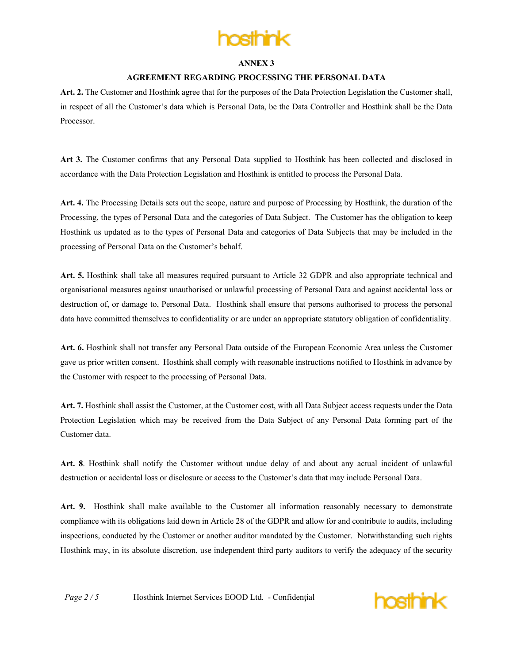

### **AGREEMENT REGARDING PROCESSING THE PERSONAL DATA**

**Art. 2.** The Customer and Hosthink agree that for the purposes of the Data Protection Legislation the Customer shall, in respect of all the Customer's data which is Personal Data, be the Data Controller and Hosthink shall be the Data Processor.

**Art 3.** The Customer confirms that any Personal Data supplied to Hosthink has been collected and disclosed in accordance with the Data Protection Legislation and Hosthink is entitled to process the Personal Data.

**Art. 4.** The Processing Details sets out the scope, nature and purpose of Processing by Hosthink, the duration of the Processing, the types of Personal Data and the categories of Data Subject. The Customer has the obligation to keep Hosthink us updated as to the types of Personal Data and categories of Data Subjects that may be included in the processing of Personal Data on the Customer's behalf.

**Art. 5.** Hosthink shall take all measures required pursuant to Article 32 GDPR and also appropriate technical and organisational measures against unauthorised or unlawful processing of Personal Data and against accidental loss or destruction of, or damage to, Personal Data. Hosthink shall ensure that persons authorised to process the personal data have committed themselves to confidentiality or are under an appropriate statutory obligation of confidentiality.

**Art. 6.** Hosthink shall not transfer any Personal Data outside of the European Economic Area unless the Customer gave us prior written consent. Hosthink shall comply with reasonable instructions notified to Hosthink in advance by the Customer with respect to the processing of Personal Data.

**Art. 7.** Hosthink shall assist the Customer, at the Customer cost, with all Data Subject access requests under the Data Protection Legislation which may be received from the Data Subject of any Personal Data forming part of the Customer data.

**Art. 8**. Hosthink shall notify the Customer without undue delay of and about any actual incident of unlawful destruction or accidental loss or disclosure or access to the Customer's data that may include Personal Data.

**Art. 9.** Hosthink shall make available to the Customer all information reasonably necessary to demonstrate compliance with its obligations laid down in Article 28 of the GDPR and allow for and contribute to audits, including inspections, conducted by the Customer or another auditor mandated by the Customer. Notwithstanding such rights Hosthink may, in its absolute discretion, use independent third party auditors to verify the adequacy of the security

*Page* 2/5 Hosthink Internet Services EOOD Ltd. - Confidential

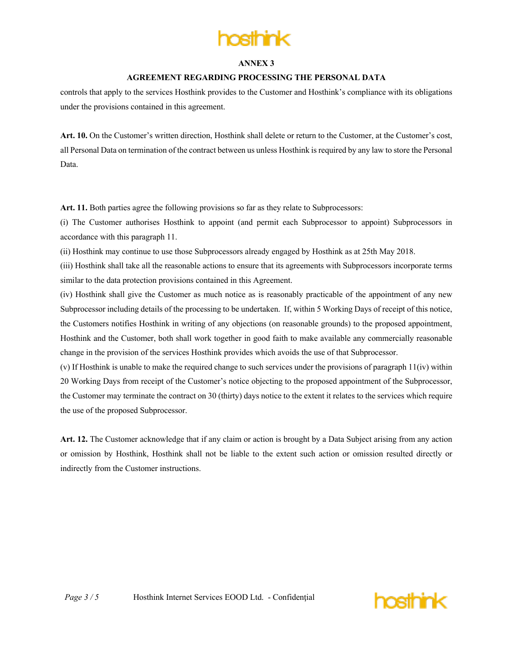

### **AGREEMENT REGARDING PROCESSING THE PERSONAL DATA**

controls that apply to the services Hosthink provides to the Customer and Hosthink's compliance with its obligations under the provisions contained in this agreement.

**Art. 10.** On the Customer's written direction, Hosthink shall delete or return to the Customer, at the Customer's cost, all Personal Data on termination of the contract between us unless Hosthink is required by any law to store the Personal Data.

**Art. 11.** Both parties agree the following provisions so far as they relate to Subprocessors:

(i) The Customer authorises Hosthink to appoint (and permit each Subprocessor to appoint) Subprocessors in accordance with this paragraph 11.

(ii) Hosthink may continue to use those Subprocessors already engaged by Hosthink as at 25th May 2018.

(iii) Hosthink shall take all the reasonable actions to ensure that its agreements with Subprocessors incorporate terms similar to the data protection provisions contained in this Agreement.

(iv) Hosthink shall give the Customer as much notice as is reasonably practicable of the appointment of any new Subprocessor including details of the processing to be undertaken. If, within 5 Working Days of receipt of this notice, the Customers notifies Hosthink in writing of any objections (on reasonable grounds) to the proposed appointment, Hosthink and the Customer, both shall work together in good faith to make available any commercially reasonable change in the provision of the services Hosthink provides which avoids the use of that Subprocessor.

(v) If Hosthink is unable to make the required change to such services under the provisions of paragraph 11(iv) within 20 Working Days from receipt of the Customer's notice objecting to the proposed appointment of the Subprocessor, the Customer may terminate the contract on 30 (thirty) days notice to the extent it relates to the services which require the use of the proposed Subprocessor.

**Art. 12.** The Customer acknowledge that if any claim or action is brought by a Data Subject arising from any action or omission by Hosthink, Hosthink shall not be liable to the extent such action or omission resulted directly or indirectly from the Customer instructions.

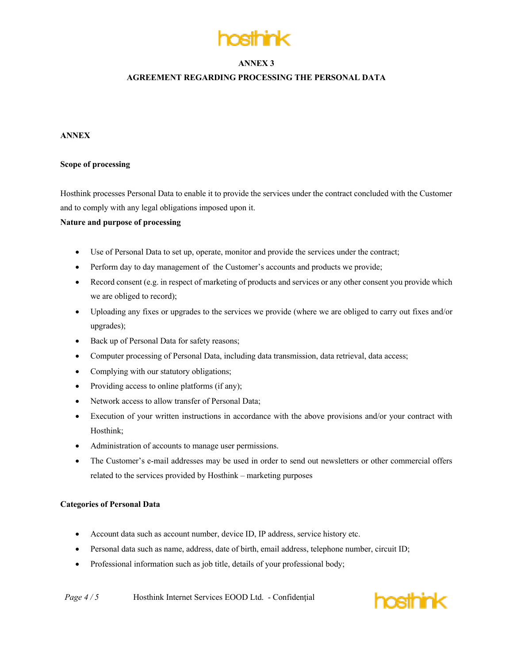

# **AGREEMENT REGARDING PROCESSING THE PERSONAL DATA**

# **ANNEX**

### **Scope of processing**

Hosthink processes Personal Data to enable it to provide the services under the contract concluded with the Customer and to comply with any legal obligations imposed upon it.

### **Nature and purpose of processing**

- Use of Personal Data to set up, operate, monitor and provide the services under the contract;
- Perform day to day management of the Customer's accounts and products we provide;
- Record consent (e.g. in respect of marketing of products and services or any other consent you provide which we are obliged to record);
- Uploading any fixes or upgrades to the services we provide (where we are obliged to carry out fixes and/or upgrades);
- Back up of Personal Data for safety reasons;
- Computer processing of Personal Data, including data transmission, data retrieval, data access;
- Complying with our statutory obligations;
- Providing access to online platforms (if any);
- Network access to allow transfer of Personal Data;
- Execution of your written instructions in accordance with the above provisions and/or your contract with Hosthink;
- Administration of accounts to manage user permissions.
- The Customer's e-mail addresses may be used in order to send out newsletters or other commercial offers related to the services provided by Hosthink – marketing purposes

#### **Categories of Personal Data**

- Account data such as account number, device ID, IP address, service history etc.
- Personal data such as name, address, date of birth, email address, telephone number, circuit ID;
- Professional information such as job title, details of your professional body;

*Page*  $4/5$  Hosthink Internet Services EOOD Ltd. - Confidential